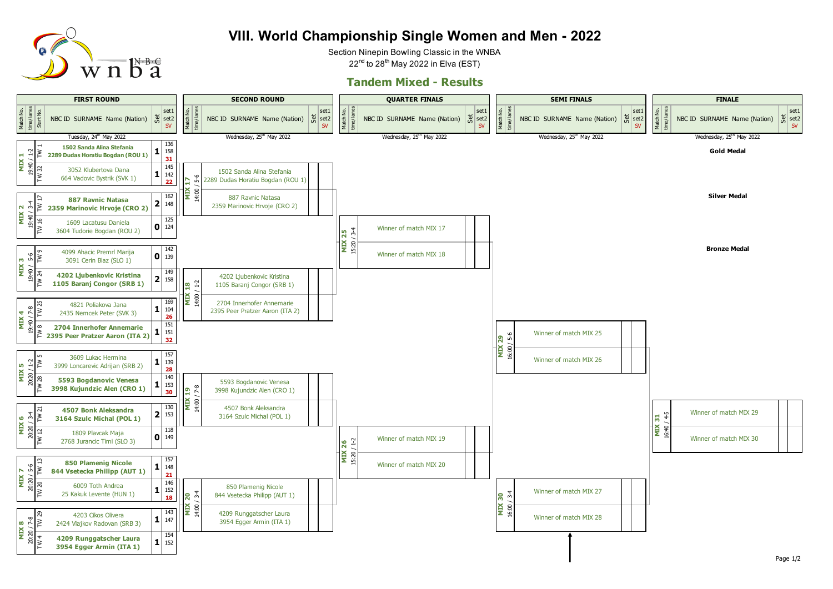

## **VIII. World Championship Single Women and Men - 2022**

Section Ninepin Bowling Classic in the WNBA  $22<sup>nd</sup>$  to  $28<sup>th</sup>$  May 2022 in Elva (EST)

## **Tandem Mixed - Results**